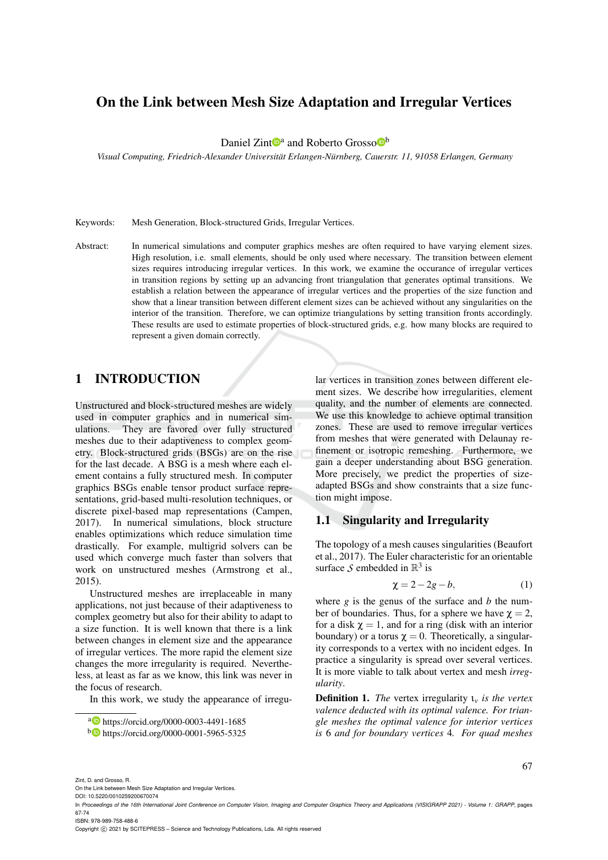# On the Link between Mesh Size Adaptation and Irregular Vertices

Daniel Zint<sup>Da</sup> and Roberto Grosso<sup>Db</sup>

*Visual Computing, Friedrich-Alexander Universitat Erlangen-N ¨ urnberg, Cauerstr. 11, 91058 Erlangen, Germany ¨*

Keywords: Mesh Generation, Block-structured Grids, Irregular Vertices.

Abstract: In numerical simulations and computer graphics meshes are often required to have varying element sizes. High resolution, i.e. small elements, should be only used where necessary. The transition between element sizes requires introducing irregular vertices. In this work, we examine the occurance of irregular vertices in transition regions by setting up an advancing front triangulation that generates optimal transitions. We establish a relation between the appearance of irregular vertices and the properties of the size function and show that a linear transition between different element sizes can be achieved without any singularities on the interior of the transition. Therefore, we can optimize triangulations by setting transition fronts accordingly. These results are used to estimate properties of block-structured grids, e.g. how many blocks are required to represent a given domain correctly.

# 1 INTRODUCTION

Unstructured and block-structured meshes are widely used in computer graphics and in numerical simulations. They are favored over fully structured meshes due to their adaptiveness to complex geometry. Block-structured grids (BSGs) are on the rise for the last decade. A BSG is a mesh where each element contains a fully structured mesh. In computer graphics BSGs enable tensor product surface representations, grid-based multi-resolution techniques, or discrete pixel-based map representations (Campen, 2017). In numerical simulations, block structure enables optimizations which reduce simulation time drastically. For example, multigrid solvers can be used which converge much faster than solvers that work on unstructured meshes (Armstrong et al., 2015).

Unstructured meshes are irreplaceable in many applications, not just because of their adaptiveness to complex geometry but also for their ability to adapt to a size function. It is well known that there is a link between changes in element size and the appearance of irregular vertices. The more rapid the element size changes the more irregularity is required. Nevertheless, at least as far as we know, this link was never in the focus of research.

In this work, we study the appearance of irregu-

lar vertices in transition zones between different element sizes. We describe how irregularities, element quality, and the number of elements are connected. We use this knowledge to achieve optimal transition zones. These are used to remove irregular vertices from meshes that were generated with Delaunay refinement or isotropic remeshing. Furthermore, we gain a deeper understanding about BSG generation. More precisely, we predict the properties of sizeadapted BSGs and show constraints that a size function might impose.

## 1.1 Singularity and Irregularity

The topology of a mesh causes singularities (Beaufort et al., 2017). The Euler characteristic for an orientable surface  $S$  embedded in  $\mathbb{R}^3$  is

$$
\chi = 2 - 2g - b,\tag{1}
$$

67

where *g* is the genus of the surface and *b* the number of boundaries. Thus, for a sphere we have  $\gamma = 2$ , for a disk  $\gamma = 1$ , and for a ring (disk with an interior boundary) or a torus  $\chi = 0$ . Theoretically, a singularity corresponds to a vertex with no incident edges. In practice a singularity is spread over several vertices. It is more viable to talk about vertex and mesh *irregularity*.

Definition 1. *The* vertex irregularity ι*<sup>v</sup> is the vertex valence deducted with its optimal valence. For triangle meshes the optimal valence for interior vertices is* 6 *and for boundary vertices* 4*. For quad meshes*

Zint, D. and Grosso, R.

On the Link between Mesh Size Adaptation and Irregular Vertices. DOI: 10.5220/0010259200670074

ISBN: 978-989-758-488-6

Copyright  $\circled{c}$  2021 by SCITEPRESS – Science and Technology Publications, Lda. All rights reserved

<sup>a</sup> https://orcid.org/0000-0003-4491-1685

<sup>b</sup> https://orcid.org/0000-0001-5965-5325

In *Proceedings of the 16th International Joint Conference on Computer Vision, Imaging and Computer Graphics Theory and Applications (VISIGRAPP 2021) - Volume 1: GRAPP*, pages 67-74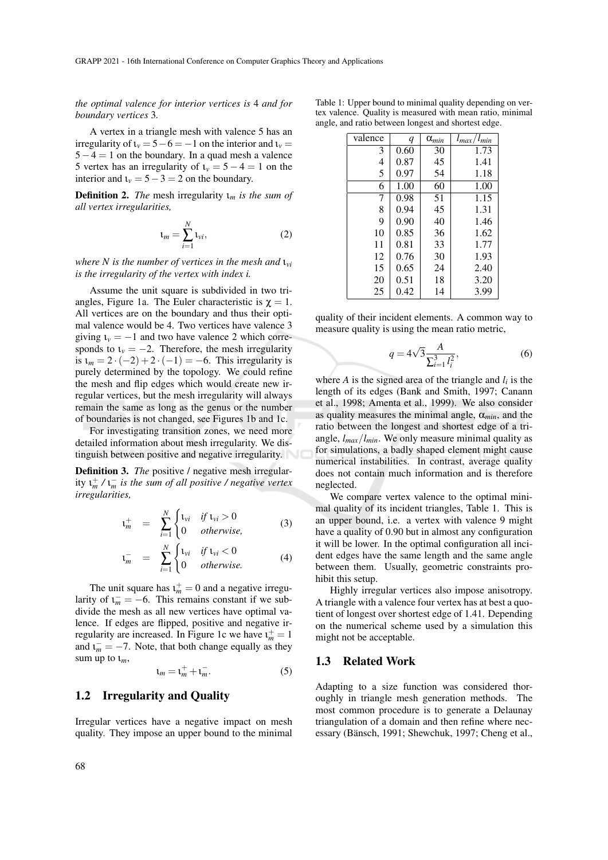*the optimal valence for interior vertices is* 4 *and for boundary vertices* 3*.*

A vertex in a triangle mesh with valence 5 has an irregularity of  $\iota_v = 5 - 6 = -1$  on the interior and  $\iota_v =$  $5-4=1$  on the boundary. In a quad mesh a valence 5 vertex has an irregularity of  $\iota_v = 5 - 4 = 1$  on the interior and  $\iota_v = 5 - 3 = 2$  on the boundary.

Definition 2. *The* mesh irregularity ι*<sup>m</sup> is the sum of all vertex irregularities,*

$$
\mathbf{1}_m = \sum_{i=1}^N \mathbf{1}_{vi},\tag{2}
$$

*where N is the number of vertices in the mesh and*  $v_{vi}$ *is the irregularity of the vertex with index i.*

Assume the unit square is subdivided in two triangles, Figure 1a. The Euler characteristic is  $\chi = 1$ . All vertices are on the boundary and thus their optimal valence would be 4. Two vertices have valence 3 giving  $\iota_v = -1$  and two have valence 2 which corresponds to  $\iota_v = -2$ . Therefore, the mesh irregularity is  $\iota_m = 2 \cdot (-2) + 2 \cdot (-1) = -6$ . This irregularity is purely determined by the topology. We could refine the mesh and flip edges which would create new irregular vertices, but the mesh irregularity will always remain the same as long as the genus or the number of boundaries is not changed, see Figures 1b and 1c.

For investigating transition zones, we need more detailed information about mesh irregularity. We distinguish between positive and negative irregularity.

Definition 3. *The* positive / negative mesh irregularity ι + *<sup>m</sup> /* ι − *<sup>m</sup> is the sum of all positive / negative vertex irregularities,*

$$
\mathfrak{t}_m^+ = \sum_{i=1}^N \begin{cases} \mathfrak{t}_{vi} & \text{if } \mathfrak{t}_{vi} > 0 \\ 0 & \text{otherwise,} \end{cases} \tag{3}
$$

$$
\mathbf{u}_m^- = \sum_{i=1}^N \begin{cases} \mathbf{u}_{vi} & \text{if } \mathbf{u}_{vi} < 0 \\ 0 & \text{otherwise.} \end{cases} \tag{4}
$$

The unit square has  $t_m^+ = 0$  and a negative irregularity of  $\mathbf{1}_m^- = -6$ . This remains constant if we subdivide the mesh as all new vertices have optimal valence. If edges are flipped, positive and negative irregularity are increased. In Figure 1c we have  $1_m^+ = 1$ and  $\iota_m^- = -7$ . Note, that both change equally as they sum up to  $t_m$ ,

$$
\mathbf{t}_m = \mathbf{t}_m^+ + \mathbf{t}_m^-.
$$

## 1.2 Irregularity and Quality

Irregular vertices have a negative impact on mesh quality. They impose an upper bound to the minimal

| q    | $\alpha_{min}$ | $l_{max}/l_{min}$ |
|------|----------------|-------------------|
| 0.60 | 30             | 1.73              |
| 0.87 | 45             | 1.41              |
| 0.97 | 54             | 1.18              |
| 1.00 | 60             | 1.00              |
| 0.98 | 51             | 1.15              |
| 0.94 | 45             | 1.31              |
| 0.90 | 40             | 1.46              |
| 0.85 | 36             | 1.62              |
| 0.81 | 33             | 1.77              |
| 0.76 | 30             | 1.93              |
| 0.65 | 24             | 2.40              |
| 0.51 | 18             | 3.20              |
| 0.42 | 14             | 3.99              |
|      |                |                   |

Table 1: Upper bound to minimal quality depending on vertex valence. Quality is measured with mean ratio, minimal angle, and ratio between longest and shortest edge.

quality of their incident elements. A common way to measure quality is using the mean ratio metric,

$$
q = 4\sqrt{3} \frac{A}{\sum_{i=1}^{3} l_i^2},\tag{6}
$$

where  $A$  is the signed area of the triangle and  $l_i$  is the length of its edges (Bank and Smith, 1997; Canann et al., 1998; Amenta et al., 1999). We also consider as quality measures the minimal angle,  $\alpha_{min}$ , and the ratio between the longest and shortest edge of a triangle, *lmax*/*lmin*. We only measure minimal quality as for simulations, a badly shaped element might cause numerical instabilities. In contrast, average quality does not contain much information and is therefore neglected.

We compare vertex valence to the optimal minimal quality of its incident triangles, Table 1. This is an upper bound, i.e. a vertex with valence 9 might have a quality of 0.90 but in almost any configuration it will be lower. In the optimal configuration all incident edges have the same length and the same angle between them. Usually, geometric constraints prohibit this setup.

Highly irregular vertices also impose anisotropy. A triangle with a valence four vertex has at best a quotient of longest over shortest edge of 1.41. Depending on the numerical scheme used by a simulation this might not be acceptable.

#### 1.3 Related Work

Adapting to a size function was considered thoroughly in triangle mesh generation methods. The most common procedure is to generate a Delaunay triangulation of a domain and then refine where necessary (Bänsch, 1991; Shewchuk, 1997; Cheng et al.,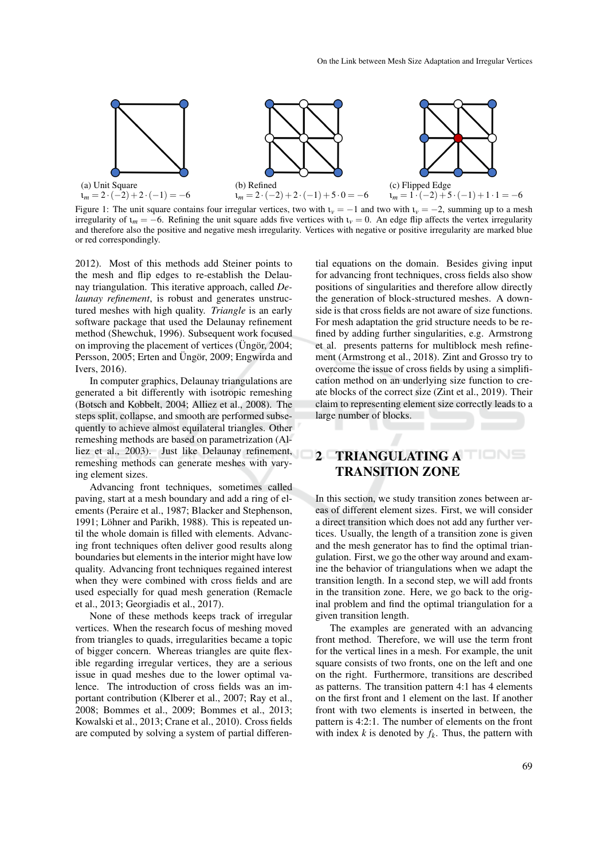

Figure 1: The unit square contains four irregular vertices, two with  $\iota_v = -1$  and two with  $\iota_v = -2$ , summing up to a mesh irregularity of  $\iota_m = -6$ . Refining the unit square adds five vertices with  $\iota_v = 0$ . An edge flip affects the vertex irregularity and therefore also the positive and negative mesh irregularity. Vertices with negative or positive irregularity are marked blue or red correspondingly.

2012). Most of this methods add Steiner points to the mesh and flip edges to re-establish the Delaunay triangulation. This iterative approach, called *Delaunay refinement*, is robust and generates unstructured meshes with high quality. *Triangle* is an early software package that used the Delaunay refinement method (Shewchuk, 1996). Subsequent work focused on improving the placement of vertices ( $\ddot{\text{U}}$ ng ör, 2004; Persson, 2005; Erten and Üngör, 2009; Engwirda and Ivers, 2016).

In computer graphics, Delaunay triangulations are generated a bit differently with isotropic remeshing (Botsch and Kobbelt, 2004; Alliez et al., 2008). The steps split, collapse, and smooth are performed subsequently to achieve almost equilateral triangles. Other remeshing methods are based on parametrization (Alliez et al., 2003). Just like Delaunay refinement, remeshing methods can generate meshes with varying element sizes.

Advancing front techniques, sometimes called paving, start at a mesh boundary and add a ring of elements (Peraire et al., 1987; Blacker and Stephenson, 1991; Löhner and Parikh, 1988). This is repeated until the whole domain is filled with elements. Advancing front techniques often deliver good results along boundaries but elements in the interior might have low quality. Advancing front techniques regained interest when they were combined with cross fields and are used especially for quad mesh generation (Remacle et al., 2013; Georgiadis et al., 2017).

None of these methods keeps track of irregular vertices. When the research focus of meshing moved from triangles to quads, irregularities became a topic of bigger concern. Whereas triangles are quite flexible regarding irregular vertices, they are a serious issue in quad meshes due to the lower optimal valence. The introduction of cross fields was an important contribution (Klberer et al., 2007; Ray et al., 2008; Bommes et al., 2009; Bommes et al., 2013; Kowalski et al., 2013; Crane et al., 2010). Cross fields are computed by solving a system of partial differen-

tial equations on the domain. Besides giving input for advancing front techniques, cross fields also show positions of singularities and therefore allow directly the generation of block-structured meshes. A downside is that cross fields are not aware of size functions. For mesh adaptation the grid structure needs to be refined by adding further singularities, e.g. Armstrong et al. presents patterns for multiblock mesh refinement (Armstrong et al., 2018). Zint and Grosso try to overcome the issue of cross fields by using a simplification method on an underlying size function to create blocks of the correct size (Zint et al., 2019). Their claim to representing element size correctly leads to a large number of blocks.

# 2 TRIANGULATING A TRANSITION ZONE

In this section, we study transition zones between areas of different element sizes. First, we will consider a direct transition which does not add any further vertices. Usually, the length of a transition zone is given and the mesh generator has to find the optimal triangulation. First, we go the other way around and examine the behavior of triangulations when we adapt the transition length. In a second step, we will add fronts in the transition zone. Here, we go back to the original problem and find the optimal triangulation for a given transition length.

The examples are generated with an advancing front method. Therefore, we will use the term front for the vertical lines in a mesh. For example, the unit square consists of two fronts, one on the left and one on the right. Furthermore, transitions are described as patterns. The transition pattern 4:1 has 4 elements on the first front and 1 element on the last. If another front with two elements is inserted in between, the pattern is 4:2:1. The number of elements on the front with index  $k$  is denoted by  $f_k$ . Thus, the pattern with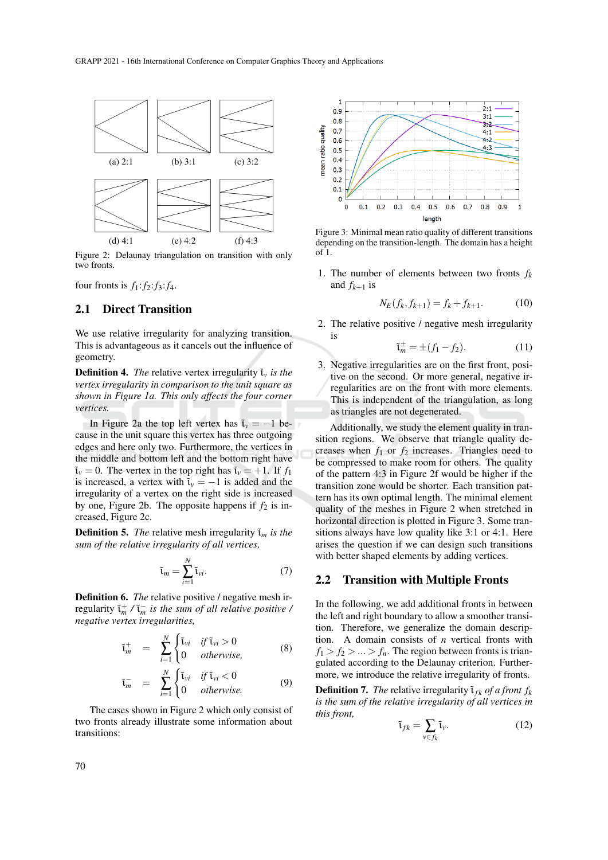

Figure 2: Delaunay triangulation on transition with only two fronts.

four fronts is  $f_1: f_2: f_3: f_4$ .

## 2.1 Direct Transition

We use relative irregularity for analyzing transition. This is advantageous as it cancels out the influence of geometry.

**Definition 4.** *The* relative vertex irregularity  $\tilde{\iota}_v$  *is the vertex irregularity in comparison to the unit square as shown in Figure 1a. This only affects the four corner vertices.*

In Figure 2a the top left vertex has  $\tilde{\iota}_v = -1$  because in the unit square this vertex has three outgoing edges and here only two. Furthermore, the vertices in the middle and bottom left and the bottom right have  $\tilde{\iota}_v = 0$ . The vertex in the top right has  $\tilde{\iota}_v = +1$ . If  $f_1$ is increased, a vertex with  $\tilde{\iota}_v = -1$  is added and the irregularity of a vertex on the right side is increased by one, Figure 2b. The opposite happens if  $f_2$  is increased, Figure 2c.

**Definition 5.** *The* relative mesh irregularity  $\tilde{\iota}_m$  *is the sum of the relative irregularity of all vertices,*

$$
\tilde{\iota}_m = \sum_{i=1}^N \tilde{\iota}_{vi}.\tag{7}
$$

Definition 6. *The* relative positive / negative mesh irregularity  $\tilde{\tau}_m^+$  /  $\tilde{\tau}_m^-$  *is the sum of all relative positive* / *negative vertex irregularities,*

$$
\tilde{\tau}_m^+ = \sum_{i=1}^N \begin{cases} \tilde{\tau}_{vi} & \text{if } \tilde{\tau}_{vi} > 0 \\ 0 & \text{otherwise,} \end{cases} \tag{8}
$$

$$
\tilde{\mathbf{t}}_m^- = \sum_{i=1}^N \begin{cases} \tilde{\mathbf{t}}_{vi} & \text{if } \tilde{\mathbf{t}}_{vi} < 0 \\ 0 & \text{otherwise.} \end{cases} \tag{9}
$$

The cases shown in Figure 2 which only consist of two fronts already illustrate some information about transitions:



Figure 3: Minimal mean ratio quality of different transitions depending on the transition-length. The domain has a height of 1.

1. The number of elements between two fronts  $f_k$ and  $f_{k+1}$  is

$$
N_E(f_k, f_{k+1}) = f_k + f_{k+1}.
$$
 (10)

2. The relative positive / negative mesh irregularity is

$$
\tilde{\mathfrak{t}}_m^{\pm} = \pm (f_1 - f_2). \tag{11}
$$

3. Negative irregularities are on the first front, positive on the second. Or more general, negative irregularities are on the front with more elements. This is independent of the triangulation, as long as triangles are not degenerated.

Additionally, we study the element quality in transition regions. We observe that triangle quality decreases when  $f_1$  or  $f_2$  increases. Triangles need to be compressed to make room for others. The quality of the pattern 4:3 in Figure 2f would be higher if the transition zone would be shorter. Each transition pattern has its own optimal length. The minimal element quality of the meshes in Figure 2 when stretched in horizontal direction is plotted in Figure 3. Some transitions always have low quality like 3:1 or 4:1. Here arises the question if we can design such transitions with better shaped elements by adding vertices.

### 2.2 Transition with Multiple Fronts

In the following, we add additional fronts in between the left and right boundary to allow a smoother transition. Therefore, we generalize the domain description. A domain consists of *n* vertical fronts with  $f_1 > f_2 > ... > f_n$ . The region between fronts is triangulated according to the Delaunay criterion. Furthermore, we introduce the relative irregularity of fronts.

**Definition 7.** *The* relative irregularity  $\tilde{\tau}_{fk}$  *of a front*  $f_k$ *is the sum of the relative irregularity of all vertices in this front,*

$$
\tilde{\iota}_{fk} = \sum_{v \in f_k} \tilde{\iota}_v.
$$
 (12)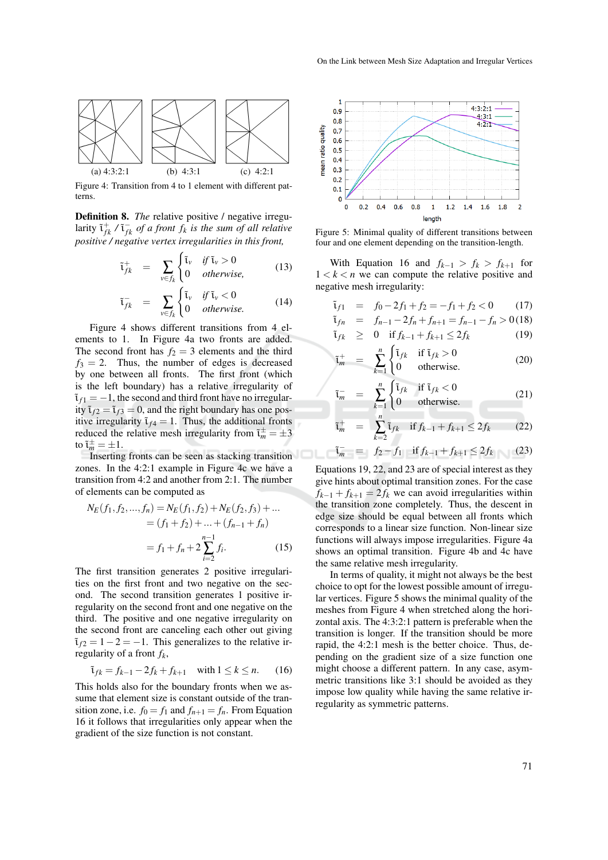

Figure 4: Transition from 4 to 1 element with different patterns.

Definition 8. *The* relative positive / negative irregularity  $\tilde{\mathfrak{t}}_{fk}^+$  /  $\tilde{\mathfrak{t}}_{fk}^-$  *of a front*  $f_k$  *is the sum of all relative positive / negative vertex irregularities in this front,*

$$
\tilde{\tau}_{fk}^{+} = \sum_{v \in f_{k}} \begin{cases} \tilde{\tau}_{v} & \text{if } \tilde{\tau}_{v} > 0 \\ 0 & \text{otherwise,} \end{cases}
$$
 (13)

$$
\tilde{\tau}_{fk}^{-} = \sum_{v \in f_{k}} \begin{cases} \tilde{\tau}_{v} & \text{if } \tilde{\tau}_{v} < 0 \\ 0 & \text{otherwise.} \end{cases}
$$
 (14)

Figure 4 shows different transitions from 4 elements to 1. In Figure 4a two fronts are added. The second front has  $f_2 = 3$  elements and the third  $f_3 = 2$ . Thus, the number of edges is decreased by one between all fronts. The first front (which is the left boundary) has a relative irregularity of  $\tilde{\iota}_{f1} = -1$ , the second and third front have no irregularity  $\tilde{\tau}_{f2} = \tilde{\tau}_{f3} = 0$ , and the right boundary has one positive irregularity  $t_{f4} = 1$ . Thus, the additional fronts reduced the relative mesh irregularity from  $\tilde{\tau}_m^{\pm} = \pm 3$ to  $\tilde{\iota}_m^{\pm} = \pm 1$ .

Inserting fronts can be seen as stacking transition zones. In the 4:2:1 example in Figure 4c we have a transition from 4:2 and another from 2:1. The number of elements can be computed as

$$
N_E(f_1, f_2, ..., f_n) = N_E(f_1, f_2) + N_E(f_2, f_3) + ...
$$
  
=  $(f_1 + f_2) + ... + (f_{n-1} + f_n)$   
=  $f_1 + f_n + 2 \sum_{i=2}^{n-1} f_i.$  (15)

The first transition generates 2 positive irregularities on the first front and two negative on the second. The second transition generates 1 positive irregularity on the second front and one negative on the third. The positive and one negative irregularity on the second front are canceling each other out giving  $\tilde{\tau}_{f2} = 1 - 2 = -1$ . This generalizes to the relative irregularity of a front *fk*,

$$
\tilde{\mathbf{i}}_{fk} = f_{k-1} - 2f_k + f_{k+1}
$$
 with  $1 \le k \le n$ . (16)

This holds also for the boundary fronts when we assume that element size is constant outside of the transition zone, i.e.  $f_0 = f_1$  and  $f_{n+1} = f_n$ . From Equation 16 it follows that irregularities only appear when the gradient of the size function is not constant.



Figure 5: Minimal quality of different transitions between four and one element depending on the transition-length.

With Equation 16 and  $f_{k-1} > f_k > f_{k+1}$  for  $1 < k < n$  we can compute the relative positive and negative mesh irregularity:

$$
\tilde{t}_{f1} = f_0 - 2f_1 + f_2 = -f_1 + f_2 < 0
$$
 (17)

$$
\tilde{\tau}_{fn} = f_{n-1} - 2f_n + f_{n+1} = f_{n-1} - f_n > 0 \tag{18}
$$
\n
$$
\tilde{\tau}_{fk} \geq 0 \quad \text{if } f_{k-1} + f_{k+1} \leq 2f_k \tag{19}
$$

$$
\tilde{\mathfrak{t}}_m^+ = \sum_{k=1}^n \begin{cases} \tilde{\mathfrak{t}}_{fk} & \text{if } \tilde{\mathfrak{t}}_{fk} > 0 \\ 0 & \text{otherwise.} \end{cases} \tag{20}
$$

$$
\bar{m} = \sum_{k=1}^{n} \begin{cases} \tilde{t}_{fk} & \text{if } \tilde{t}_{fk} < 0 \\ 0 & \text{otherwise.} \end{cases}
$$
 (21)

 $\tilde{i}$ 

$$
\tilde{\mathbf{t}}_m^+ = \sum_{k=2}^n \tilde{\mathbf{t}}_{fk} \quad \text{if } f_{k-1} + f_{k+1} \le 2f_k \tag{22}
$$

$$
\tilde{\mathfrak{t}}_m^- = f_2 - f_1 \quad \text{if } f_{k-1} + f_{k+1} \le 2f_k \tag{23}
$$

Equations 19, 22, and 23 are of special interest as they give hints about optimal transition zones. For the case  $f_{k-1} + f_{k+1} = 2f_k$  we can avoid irregularities within the transition zone completely. Thus, the descent in edge size should be equal between all fronts which corresponds to a linear size function. Non-linear size functions will always impose irregularities. Figure 4a shows an optimal transition. Figure 4b and 4c have the same relative mesh irregularity.

In terms of quality, it might not always be the best choice to opt for the lowest possible amount of irregular vertices. Figure 5 shows the minimal quality of the meshes from Figure 4 when stretched along the horizontal axis. The 4:3:2:1 pattern is preferable when the transition is longer. If the transition should be more rapid, the 4:2:1 mesh is the better choice. Thus, depending on the gradient size of a size function one might choose a different pattern. In any case, asymmetric transitions like 3:1 should be avoided as they impose low quality while having the same relative irregularity as symmetric patterns.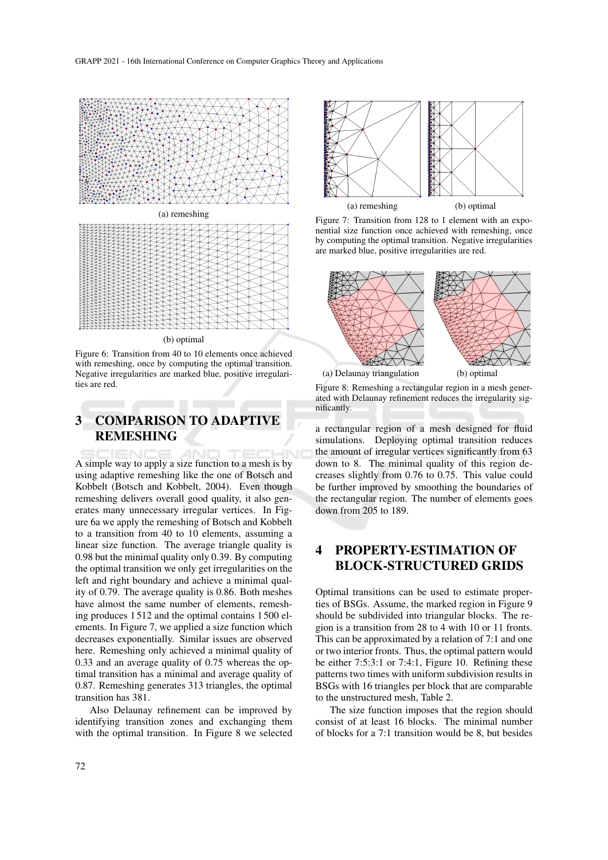



#### (b) optimal

Figure 6: Transition from 40 to 10 elements once achieved with remeshing, once by computing the optimal transition. Negative irregularities are marked blue, positive irregularities are red.

# 3 COMPARISON TO ADAPTIVE REMESHING

A simple way to apply a size function to a mesh is by using adaptive remeshing like the one of Botsch and Kobbelt (Botsch and Kobbelt, 2004). Even though remeshing delivers overall good quality, it also generates many unnecessary irregular vertices. In Figure 6a we apply the remeshing of Botsch and Kobbelt to a transition from 40 to 10 elements, assuming a linear size function. The average triangle quality is 0.98 but the minimal quality only 0.39. By computing the optimal transition we only get irregularities on the left and right boundary and achieve a minimal quality of 0.79. The average quality is 0.86. Both meshes have almost the same number of elements, remeshing produces 1 512 and the optimal contains 1 500 elements. In Figure 7, we applied a size function which decreases exponentially. Similar issues are observed here. Remeshing only achieved a minimal quality of 0.33 and an average quality of 0.75 whereas the optimal transition has a minimal and average quality of 0.87. Remeshing generates 313 triangles, the optimal transition has 381.

Also Delaunay refinement can be improved by identifying transition zones and exchanging them with the optimal transition. In Figure 8 we selected



Figure 7: Transition from 128 to 1 element with an exponential size function once achieved with remeshing, once by computing the optimal transition. Negative irregularities are marked blue, positive irregularities are red.



Figure 8: Remeshing a rectangular region in a mesh generated with Delaunay refinement reduces the irregularity significantly.

a rectangular region of a mesh designed for fluid simulations. Deploying optimal transition reduces the amount of irregular vertices significantly from 63 down to 8. The minimal quality of this region decreases slightly from 0.76 to 0.75. This value could be further improved by smoothing the boundaries of the rectangular region. The number of elements goes down from 205 to 189.

# 4 PROPERTY-ESTIMATION OF BLOCK-STRUCTURED GRIDS

Optimal transitions can be used to estimate properties of BSGs. Assume, the marked region in Figure 9 should be subdivided into triangular blocks. The region is a transition from 28 to 4 with 10 or 11 fronts. This can be approximated by a relation of 7:1 and one or two interior fronts. Thus, the optimal pattern would be either 7:5:3:1 or 7:4:1, Figure 10. Refining these patterns two times with uniform subdivision results in BSGs with 16 triangles per block that are comparable to the unstructured mesh, Table 2.

The size function imposes that the region should consist of at least 16 blocks. The minimal number of blocks for a 7:1 transition would be 8, but besides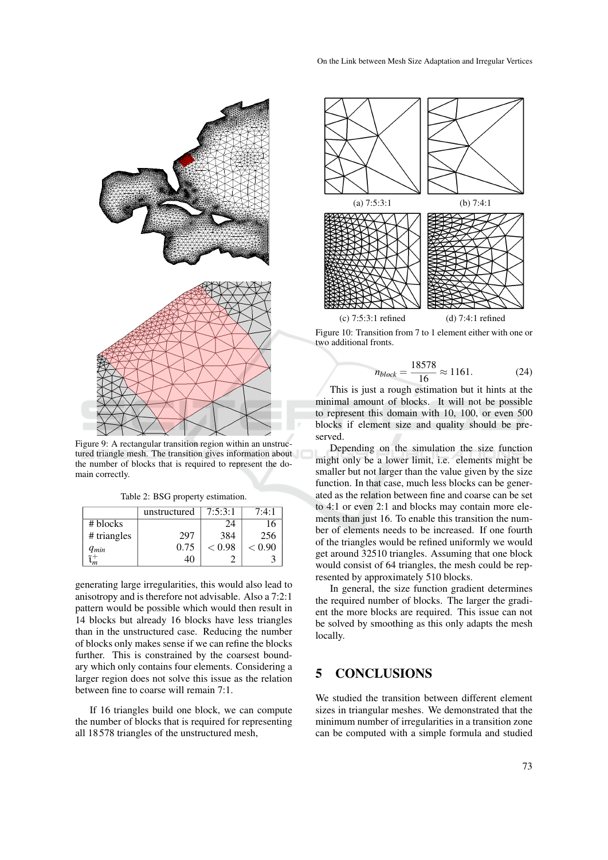

Figure 9: A rectangular transition region within an unstructured triangle mesh. The transition gives information about the number of blocks that is required to represent the domain correctly.

Table 2: BSG property estimation.

|             | unstructured | 7:5:3:1 | 7:4:1  |
|-------------|--------------|---------|--------|
| # blocks    |              | 24      | 16     |
| # triangles | 297          | 384     | 256    |
| $q_{min}$   | 0.75         | < 0.98  | < 0.90 |
|             |              |         |        |

generating large irregularities, this would also lead to anisotropy and is therefore not advisable. Also a 7:2:1 pattern would be possible which would then result in 14 blocks but already 16 blocks have less triangles than in the unstructured case. Reducing the number of blocks only makes sense if we can refine the blocks further. This is constrained by the coarsest boundary which only contains four elements. Considering a larger region does not solve this issue as the relation between fine to coarse will remain 7:1.

If 16 triangles build one block, we can compute the number of blocks that is required for representing all 18 578 triangles of the unstructured mesh,



Figure 10: Transition from 7 to 1 element either with one or two additional fronts.

$$
n_{block} = \frac{18578}{16} \approx 1161. \tag{24}
$$

This is just a rough estimation but it hints at the minimal amount of blocks. It will not be possible to represent this domain with 10, 100, or even 500 blocks if element size and quality should be preserved.

Depending on the simulation the size function might only be a lower limit, i.e. elements might be smaller but not larger than the value given by the size function. In that case, much less blocks can be generated as the relation between fine and coarse can be set to 4:1 or even 2:1 and blocks may contain more elements than just 16. To enable this transition the number of elements needs to be increased. If one fourth of the triangles would be refined uniformly we would get around 32510 triangles. Assuming that one block would consist of 64 triangles, the mesh could be represented by approximately 510 blocks.

In general, the size function gradient determines the required number of blocks. The larger the gradient the more blocks are required. This issue can not be solved by smoothing as this only adapts the mesh locally.

## 5 CONCLUSIONS

We studied the transition between different element sizes in triangular meshes. We demonstrated that the minimum number of irregularities in a transition zone can be computed with a simple formula and studied